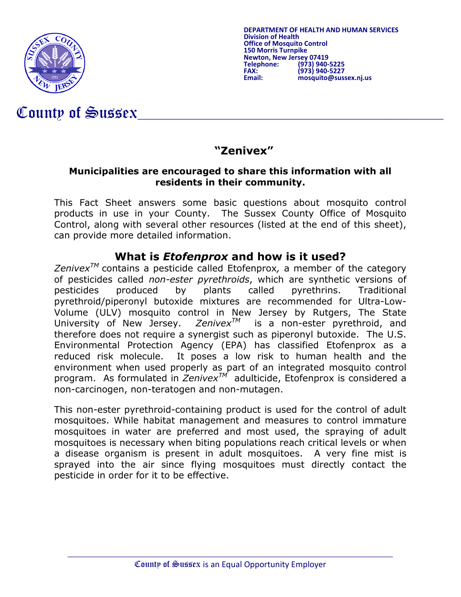

**DEPARTMENT OF HEALTH AND HUMAN SERVICES Division of Health Office of Mosquito Control 150 Mewton, New Jersey 07419<br>150 Telephone: (973) Telephone: (973) 940-5225 FAX: (973) 940-5227 Email: mosquito@sussex.nj.us**

# County of Sussex

## **"Zenivex"**

#### **Municipalities are encouraged to share this information with all residents in their community.**

This Fact Sheet answers some basic questions about mosquito control products in use in your County. The Sussex County Office of Mosquito Control, along with several other resources (listed at the end of this sheet), can provide more detailed information.

#### **What is** *Etofenprox* **and how is it used?**

*ZenivexTM* contains a pesticide called Etofenprox*,* a member of the category of pesticides called *non-ester pyrethroids*, which are synthetic versions of pesticides produced by plants called pyrethrins. Traditional pyrethroid/piperonyl butoxide mixtures are recommended for Ultra-Low-Volume (ULV) mosquito control in New Jersey by Rutgers, The State University of New Jersey.  $Zenivex^{TM}$  is a non-ester pyrethroid, and University of New Jersey.  $Zenivex^{TM}$  is a non-ester pyrethroid, and therefore does not require a synergist such as piperonyl butoxide. The U.S. Environmental Protection Agency (EPA) has classified Etofenprox as a reduced risk molecule. It poses a low risk to human health and the environment when used properly as part of an integrated mosquito control program. As formulated in *ZenivexTM* adulticide, Etofenprox is considered a non-carcinogen, non-teratogen and non-mutagen.

This non-ester pyrethroid-containing product is used for the control of adult mosquitoes. While habitat management and measures to control immature mosquitoes in water are preferred and most used, the spraying of adult mosquitoes is necessary when biting populations reach critical levels or when a disease organism is present in adult mosquitoes. A very fine mist is sprayed into the air since flying mosquitoes must directly contact the pesticide in order for it to be effective.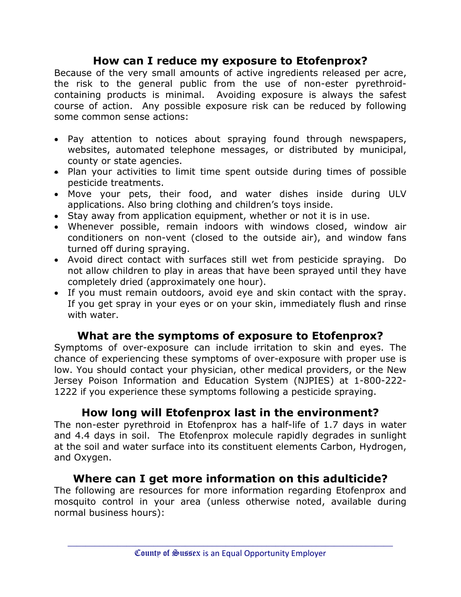#### **How can I reduce my exposure to Etofenprox?**

Because of the very small amounts of active ingredients released per acre, the risk to the general public from the use of non-ester pyrethroidcontaining products is minimal. Avoiding exposure is always the safest course of action. Any possible exposure risk can be reduced by following some common sense actions:

- Pay attention to notices about spraying found through newspapers, websites, automated telephone messages, or distributed by municipal, county or state agencies.
- Plan your activities to limit time spent outside during times of possible pesticide treatments.
- Move your pets, their food, and water dishes inside during ULV applications. Also bring clothing and children's toys inside.
- Stay away from application equipment, whether or not it is in use.
- Whenever possible, remain indoors with windows closed, window air conditioners on non-vent (closed to the outside air), and window fans turned off during spraying.
- Avoid direct contact with surfaces still wet from pesticide spraying. Do not allow children to play in areas that have been sprayed until they have completely dried (approximately one hour).
- If you must remain outdoors, avoid eye and skin contact with the spray. If you get spray in your eyes or on your skin, immediately flush and rinse with water.

#### **What are the symptoms of exposure to Etofenprox?**

Symptoms of over-exposure can include irritation to skin and eyes. The chance of experiencing these symptoms of over-exposure with proper use is low. You should contact your physician, other medical providers, or the New Jersey Poison Information and Education System (NJPIES) at 1-800-222- 1222 if you experience these symptoms following a pesticide spraying.

### **How long will Etofenprox last in the environment?**

The non-ester pyrethroid in Etofenprox has a half-life of 1.7 days in water and 4.4 days in soil. The Etofenprox molecule rapidly degrades in sunlight at the soil and water surface into its constituent elements Carbon, Hydrogen, and Oxygen.

### **Where can I get more information on this adulticide?**

The following are resources for more information regarding Etofenprox and mosquito control in your area (unless otherwise noted, available during normal business hours):